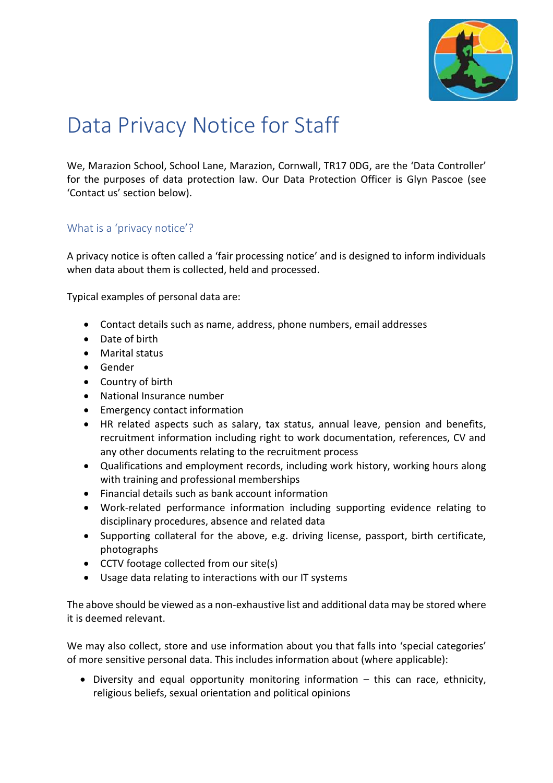

# Data Privacy Notice for Staff

We, Marazion School, School Lane, Marazion, Cornwall, TR17 0DG, are the 'Data Controller' for the purposes of data protection law. Our Data Protection Officer is Glyn Pascoe (see 'Contact us' section below).

# What is a 'privacy notice'?

A privacy notice is often called a 'fair processing notice' and is designed to inform individuals when data about them is collected, held and processed.

Typical examples of personal data are:

- Contact details such as name, address, phone numbers, email addresses
- Date of birth
- Marital status
- Gender
- Country of birth
- National Insurance number
- Emergency contact information
- HR related aspects such as salary, tax status, annual leave, pension and benefits, recruitment information including right to work documentation, references, CV and any other documents relating to the recruitment process
- Qualifications and employment records, including work history, working hours along with training and professional memberships
- Financial details such as bank account information
- Work-related performance information including supporting evidence relating to disciplinary procedures, absence and related data
- Supporting collateral for the above, e.g. driving license, passport, birth certificate, photographs
- CCTV footage collected from our site(s)
- Usage data relating to interactions with our IT systems

The above should be viewed as a non-exhaustive list and additional data may be stored where it is deemed relevant.

We may also collect, store and use information about you that falls into 'special categories' of more sensitive personal data. This includes information about (where applicable):

• Diversity and equal opportunity monitoring information – this can race, ethnicity, religious beliefs, sexual orientation and political opinions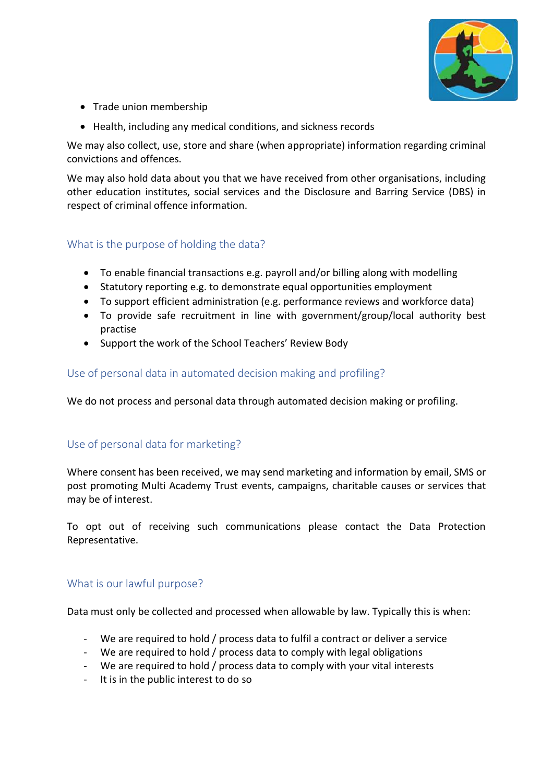

- Trade union membership
- Health, including any medical conditions, and sickness records

We may also collect, use, store and share (when appropriate) information regarding criminal convictions and offences.

We may also hold data about you that we have received from other organisations, including other education institutes, social services and the Disclosure and Barring Service (DBS) in respect of criminal offence information.

# What is the purpose of holding the data?

- To enable financial transactions e.g. payroll and/or billing along with modelling
- Statutory reporting e.g. to demonstrate equal opportunities employment
- To support efficient administration (e.g. performance reviews and workforce data)
- To provide safe recruitment in line with government/group/local authority best practise
- Support the work of the School Teachers' Review Body

## Use of personal data in automated decision making and profiling?

We do not process and personal data through automated decision making or profiling.

## Use of personal data for marketing?

Where consent has been received, we may send marketing and information by email, SMS or post promoting Multi Academy Trust events, campaigns, charitable causes or services that may be of interest.

To opt out of receiving such communications please contact the Data Protection Representative.

## What is our lawful purpose?

Data must only be collected and processed when allowable by law. Typically this is when:

- We are required to hold / process data to fulfil a contract or deliver a service
- We are required to hold / process data to comply with legal obligations
- We are required to hold / process data to comply with your vital interests
- It is in the public interest to do so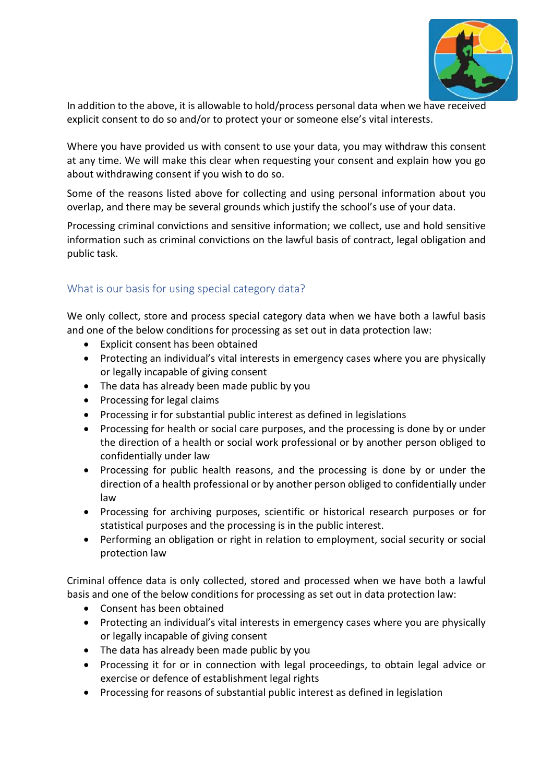

In addition to the above, it is allowable to hold/process personal data when we have received explicit consent to do so and/or to protect your or someone else's vital interests.

Where you have provided us with consent to use your data, you may withdraw this consent at any time. We will make this clear when requesting your consent and explain how you go about withdrawing consent if you wish to do so.

Some of the reasons listed above for collecting and using personal information about you overlap, and there may be several grounds which justify the school's use of your data.

Processing criminal convictions and sensitive information; we collect, use and hold sensitive information such as criminal convictions on the lawful basis of contract, legal obligation and public task.

# What is our basis for using special category data?

We only collect, store and process special category data when we have both a lawful basis and one of the below conditions for processing as set out in data protection law:

- Explicit consent has been obtained
- Protecting an individual's vital interests in emergency cases where you are physically or legally incapable of giving consent
- The data has already been made public by you
- Processing for legal claims
- Processing ir for substantial public interest as defined in legislations
- Processing for health or social care purposes, and the processing is done by or under the direction of a health or social work professional or by another person obliged to confidentially under law
- Processing for public health reasons, and the processing is done by or under the direction of a health professional or by another person obliged to confidentially under law
- Processing for archiving purposes, scientific or historical research purposes or for statistical purposes and the processing is in the public interest.
- Performing an obligation or right in relation to employment, social security or social protection law

Criminal offence data is only collected, stored and processed when we have both a lawful basis and one of the below conditions for processing as set out in data protection law:

- Consent has been obtained
- Protecting an individual's vital interests in emergency cases where you are physically or legally incapable of giving consent
- The data has already been made public by you
- Processing it for or in connection with legal proceedings, to obtain legal advice or exercise or defence of establishment legal rights
- Processing for reasons of substantial public interest as defined in legislation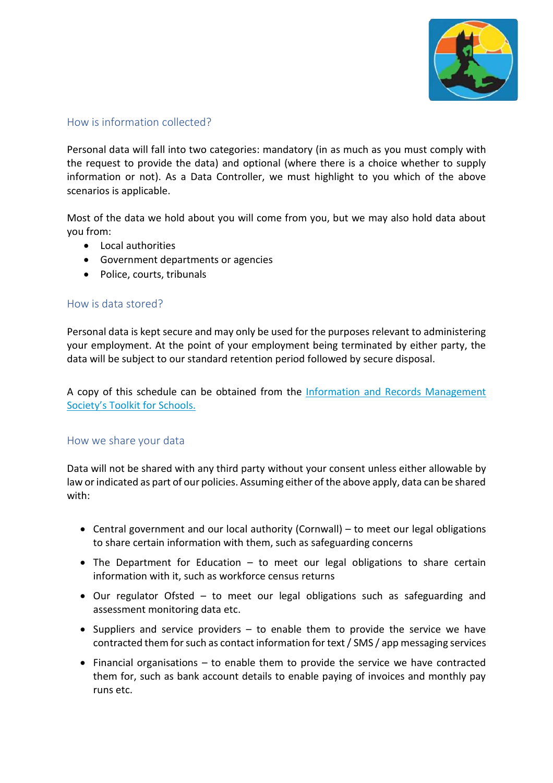

## How is information collected?

Personal data will fall into two categories: mandatory (in as much as you must comply with the request to provide the data) and optional (where there is a choice whether to supply information or not). As a Data Controller, we must highlight to you which of the above scenarios is applicable.

Most of the data we hold about you will come from you, but we may also hold data about you from:

- Local authorities
- Government departments or agencies
- Police, courts, tribunals

# How is data stored?

Personal data is kept secure and may only be used for the purposes relevant to administering your employment. At the point of your employment being terminated by either party, the data will be subject to our standard retention period followed by secure disposal.

A copy of this schedule can be obtained from the [Information and Records Management](http://irms.org.uk/?page=schoolstoolkit&terms=%22toolkit+and+schools%22)  Society's [Toolkit for Schools.](http://irms.org.uk/?page=schoolstoolkit&terms=%22toolkit+and+schools%22)

#### How we share your data

Data will not be shared with any third party without your consent unless either allowable by law or indicated as part of our policies. Assuming either of the above apply, data can be shared with:

- Central government and our local authority (Cornwall) to meet our legal obligations to share certain information with them, such as safeguarding concerns
- The Department for Education to meet our legal obligations to share certain information with it, such as workforce census returns
- Our regulator Ofsted to meet our legal obligations such as safeguarding and assessment monitoring data etc.
- Suppliers and service providers to enable them to provide the service we have contracted them for such as contact information for text / SMS / app messaging services
- Financial organisations to enable them to provide the service we have contracted them for, such as bank account details to enable paying of invoices and monthly pay runs etc.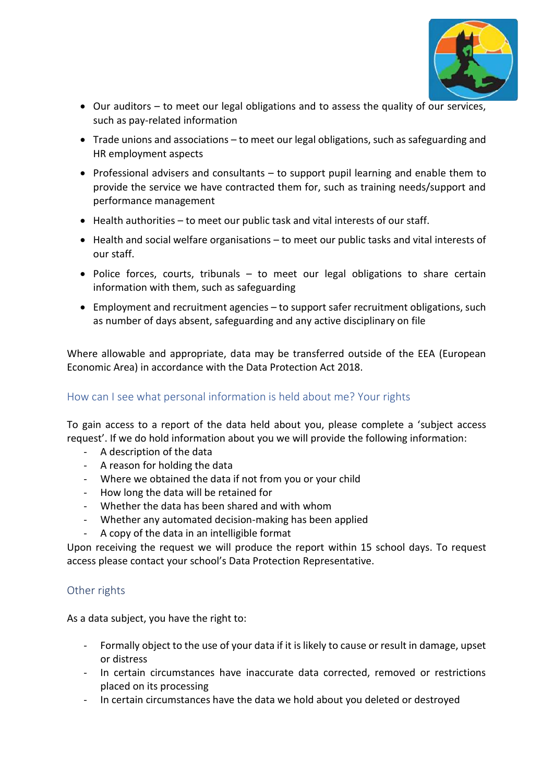

- Our auditors to meet our legal obligations and to assess the quality of our services, such as pay-related information
- Trade unions and associations to meet our legal obligations, such as safeguarding and HR employment aspects
- Professional advisers and consultants to support pupil learning and enable them to provide the service we have contracted them for, such as training needs/support and performance management
- Health authorities to meet our public task and vital interests of our staff.
- Health and social welfare organisations to meet our public tasks and vital interests of our staff.
- Police forces, courts, tribunals to meet our legal obligations to share certain information with them, such as safeguarding
- Employment and recruitment agencies to support safer recruitment obligations, such as number of days absent, safeguarding and any active disciplinary on file

Where allowable and appropriate, data may be transferred outside of the EEA (European Economic Area) in accordance with the Data Protection Act 2018.

# How can I see what personal information is held about me? Your rights

To gain access to a report of the data held about you, please complete a 'subject access request'. If we do hold information about you we will provide the following information:

- A description of the data
- A reason for holding the data
- Where we obtained the data if not from you or your child
- How long the data will be retained for
- Whether the data has been shared and with whom
- Whether any automated decision-making has been applied
- A copy of the data in an intelligible format

Upon receiving the request we will produce the report within 15 school days. To request access please contact your school's Data Protection Representative.

## Other rights

As a data subject, you have the right to:

- Formally object to the use of your data if it is likely to cause or result in damage, upset or distress
- In certain circumstances have inaccurate data corrected, removed or restrictions placed on its processing
- In certain circumstances have the data we hold about you deleted or destroyed